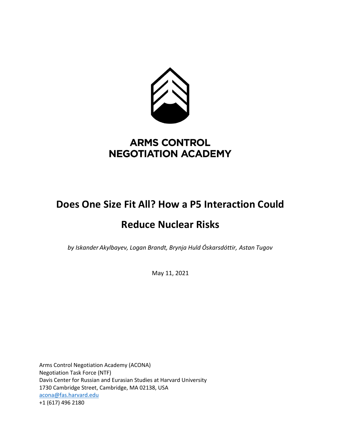

## **ARMS CONTROL NEGOTIATION ACADEMY**

# **Does One Size Fit All? How a P5 Interaction Could Reduce Nuclear Risks**

*by Iskander Akylbayev, Logan Brandt, Brynja Huld Óskarsdóttir, Astan Tugov*

May 11, 2021

Arms Control Negotiation Academy (ACONA) Negotiation Task Force (NTF) Davis Center for Russian and Eurasian Studies at Harvard University 1730 Cambridge Street, Cambridge, MA 02138, USA acona@fas.harvard.edu +1 (617) 496 2180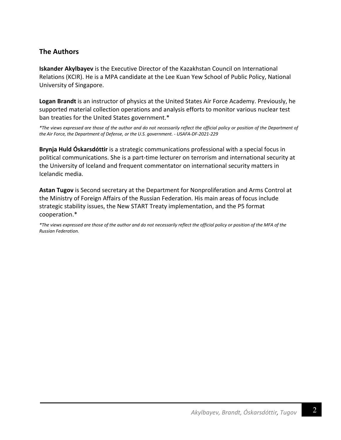## **The Authors**

**Iskander Akylbayev** is the Executive Director of the Kazakhstan Council on International Relations (KCIR). He is a MPA candidate at the Lee Kuan Yew School of Public Policy, National University of Singapore.

**Logan Brandt** is an instructor of physics at the United States Air Force Academy. Previously, he supported material collection operations and analysis efforts to monitor various nuclear test ban treaties for the United States government.\*

*\*The views expressed are those of the author and do not necessarily reflect the official policy or position of the Department of the Air Force, the Department of Defense, or the U.S. government. - USAFA-DF-2021-229*

**Brynja Huld Óskarsdóttir** is a strategic communications professional with a special focus in political communications. She is a part-time lecturer on terrorism and international security at the University of Iceland and frequent commentator on international security matters in Icelandic media.

**Astan Tugov** is Second secretary at the Department for Nonproliferation and Arms Control at the Ministry of Foreign Affairs of the Russian Federation. His main areas of focus include strategic stability issues, the New START Treaty implementation, and the P5 format cooperation.\*

*\*The views expressed are those of the author and do not necessarily reflect the official policy or position of the MFA of the Russian Federation.*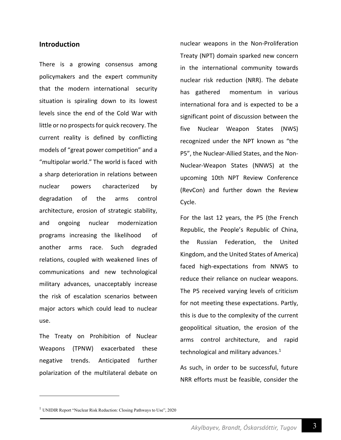#### **Introduction**

There is a growing consensus among policymakers and the expert community that the modern international security situation is spiraling down to its lowest levels since the end of the Cold War with little or no prospects for quick recovery. The current reality is defined by conflicting models of "great power competition" and a "multipolar world." The world is faced with a sharp deterioration in relations between nuclear powers characterized by degradation of the arms control architecture, erosion of strategic stability, and ongoing nuclear modernization programs increasing the likelihood of another arms race. Such degraded relations, coupled with weakened lines of communications and new technological military advances, unacceptably increase the risk of escalation scenarios between major actors which could lead to nuclear use.

The Treaty on Prohibition of Nuclear Weapons (TPNW) exacerbated these negative trends. Anticipated further polarization of the multilateral debate on nuclear weapons in the Non-Proliferation Treaty (NPT) domain sparked new concern in the international community towards nuclear risk reduction (NRR). The debate has gathered momentum in various international fora and is expected to be a significant point of discussion between the five Nuclear Weapon States (NWS) recognized under the NPT known as "the P5", the Nuclear-Allied States, and the Non-Nuclear-Weapon States (NNWS) at the upcoming 10th NPT Review Conference (RevCon) and further down the Review Cycle.

For the last 12 years, the P5 (the French Republic, the People's Republic of China, the Russian Federation, the United Kingdom, and the United States of America) faced high-expectations from NNWS to reduce their reliance on nuclear weapons. The P5 received varying levels of criticism for not meeting these expectations. Partly, this is due to the complexity of the current geopolitical situation, the erosion of the arms control architecture, and rapid technological and military advances. $1$ 

As such, in order to be successful, future NRR efforts must be feasible, consider the

<sup>&</sup>lt;sup>1</sup> UNIDIR Report "Nuclear Risk Reduction: Closing Pathways to Use", 2020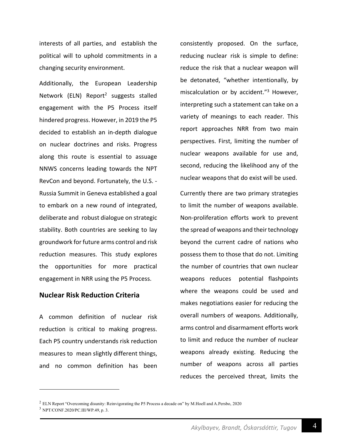interests of all parties, and establish the political will to uphold commitments in a changing security environment.

Additionally, the European Leadership Network (ELN) Report<sup>2</sup> suggests stalled engagement with the P5 Process itself hindered progress. However, in 2019 the P5 decided to establish an in-depth dialogue on nuclear doctrines and risks. Progress along this route is essential to assuage NNWS concerns leading towards the NPT RevCon and beyond. Fortunately, the U.S. - Russia Summit in Geneva established a goal to embark on a new round of integrated, deliberate and robust dialogue on strategic stability. Both countries are seeking to lay groundwork for future arms control and risk reduction measures. This study explores the opportunities for more practical engagement in NRR using the P5 Process.

#### **Nuclear Risk Reduction Criteria**

A common definition of nuclear risk reduction is critical to making progress. Each P5 country understands risk reduction measures to mean slightly different things, and no common definition has been consistently proposed. On the surface, reducing nuclear risk is simple to define: reduce the risk that a nuclear weapon will be detonated, "whether intentionally, by miscalculation or by accident."<sup>3</sup> However, interpreting such a statement can take on a variety of meanings to each reader. This report approaches NRR from two main perspectives. First, limiting the number of nuclear weapons available for use and, second, reducing the likelihood any of the nuclear weapons that do exist will be used.

Currently there are two primary strategies to limit the number of weapons available. Non-proliferation efforts work to prevent the spread of weapons and their technology beyond the current cadre of nations who possess them to those that do not. Limiting the number of countries that own nuclear weapons reduces potential flashpoints where the weapons could be used and makes negotiations easier for reducing the overall numbers of weapons. Additionally, arms control and disarmament efforts work to limit and reduce the number of nuclear weapons already existing. Reducing the number of weapons across all parties reduces the perceived threat, limits the

<sup>2</sup> ELN Report "Overcoming disunity: Reinvigorating the P5 Process a decade on" by M.Hoell and A.Persbo, 2020

<sup>3</sup> NPT/CONF.2020/PC.III/WP.49, p. 3.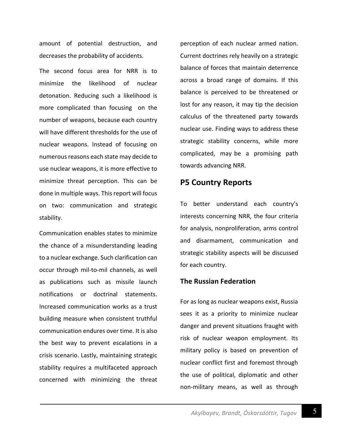amount of potential destruction, and decreases the probability of accidents.

The second focus area for NRR is to minimize the likelihood of nuclear detonation. Reducing such a likelihood is more complicated than focusing on the number of weapons, because each country will have different thresholds for the use of nuclear weapons. Instead of focusing on numerous reasons each state may decide to use nuclear weapons, it is more effective to minimize threat perception. This can be done in multiple ways. This report will focus on two: communication and strategic stability.

Communication enables states to minimize the chance of a misunderstanding leading to a nuclear exchange. Such clarification can occur through mil-to-mil channels, as well as publications such as missile launch notifications or doctrinal statements. Increased communication works as a trust building measure when consistent truthful communication endures over time. It is also the best way to prevent escalations in a crisis scenario. Lastly, maintaining strategic stability requires a multifaceted approach concerned with minimizing the threat perception of each nuclear armed nation. Current doctrines rely heavily on a strategic balance of forces that maintain deterrence across a broad range of domains. If this balance is perceived to be threatened or lost for any reason, it may tip the decision calculus of the threatened party towards nuclear use. Finding ways to address these strategic stability concerns, while more complicated, may be a promising path towards advancing NRR.

## **P5 Country Reports**

To better understand each country's interests concerning NRR, the four criteria for analysis, nonproliferation, arms control and disarmament, communication and strategic stability aspects will be discussed for each country.

### **The Russian Federation**

For as long as nuclear weapons exist, Russia sees it as a priority to minimize nuclear danger and prevent situations fraught with risk of nuclear weapon employment. Its military policy is based on prevention of nuclear conflict first and foremost through the use of political, diplomatic and other non-military means, as well as through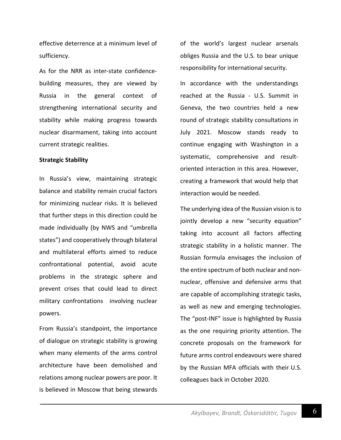effective deterrence at a minimum level of sufficiency.

As for the NRR as inter-state confidencebuilding measures, they are viewed by Russia in the general context of strengthening international security and stability while making progress towards nuclear disarmament, taking into account current strategic realities.

#### **Strategic Stability**

In Russia's view, maintaining strategic balance and stability remain crucial factors for minimizing nuclear risks. It is believed that further steps in this direction could be made individually (by NWS and "umbrella states") and cooperatively through bilateral and multilateral efforts aimed to reduce confrontational potential, avoid acute problems in the strategic sphere and prevent crises that could lead to direct military confrontations involving nuclear powers.

From Russia's standpoint, the importance of dialogue on strategic stability is growing when many elements of the arms control architecture have been demolished and relations among nuclear powers are poor. It is believed in Moscow that being stewards of the world's largest nuclear arsenals obliges Russia and the U.S. to bear unique responsibility for international security.

In accordance with the understandings reached at the Russia - U.S. Summit in Geneva, the two countries held a new round of strategic stability consultations in July 2021. Moscow stands ready to continue engaging with Washington in a systematic, comprehensive and resultoriented interaction in this area. However, creating a framework that would help that interaction would be needed.

The underlying idea of the Russian vision is to jointly develop a new "security equation" taking into account all factors affecting strategic stability in a holistic manner. The Russian formula envisages the inclusion of the entire spectrum of both nuclear and nonnuclear, offensive and defensive arms that are capable of accomplishing strategic tasks, as well as new and emerging technologies. The "post-INF" issue is highlighted by Russia as the one requiring priority attention. The concrete proposals on the framework for future arms control endeavours were shared by the Russian MFA officials with their U.S. colleagues back in October 2020.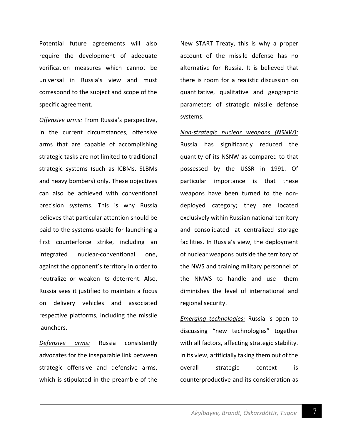Potential future agreements will also require the development of adequate verification measures which cannot be universal in Russia's view and must correspond to the subject and scope of the specific agreement.

*Offensive arms:* From Russia's perspective, in the current circumstances, offensive arms that are capable of accomplishing strategic tasks are not limited to traditional strategic systems (such as ICBMs, SLBMs and heavy bombers) only. These objectives can also be achieved with conventional precision systems. This is why Russia believes that particular attention should be paid to the systems usable for launching a first counterforce strike, including an integrated nuclear-conventional one, against the opponent's territory in order to neutralize or weaken its deterrent. Also, Russia sees it justified to maintain a focus on delivery vehicles and associated respective platforms, including the missile launchers.

*Defensive arms:* Russia consistently advocates for the inseparable link between strategic offensive and defensive arms, which is stipulated in the preamble of the New START Treaty, this is why a proper account of the missile defense has no alternative for Russia. It is believed that there is room for a realistic discussion on quantitative, qualitative and geographic parameters of strategic missile defense systems.

*Non-strategic nuclear weapons (NSNW):* Russia has significantly reduced the quantity of its NSNW as compared to that possessed by the USSR in 1991. Of particular importance is that these weapons have been turned to the nondeployed category; they are located exclusively within Russian national territory and consolidated at centralized storage facilities. In Russia's view, the deployment of nuclear weapons outside the territory of the NWS and training military personnel of the NNWS to handle and use them diminishes the level of international and regional security.

*Emerging technologies:* Russia is open to discussing "new technologies" together with all factors, affecting strategic stability. In its view, artificially taking them out of the overall strategic context is counterproductive and its consideration as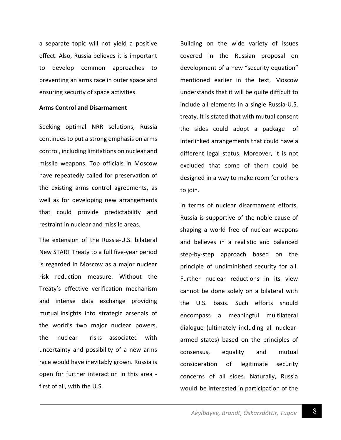a separate topic will not yield a positive effect. Also, Russia believes it is important to develop common approaches to preventing an arms race in outer space and ensuring security of space activities.

#### **Arms Control and Disarmament**

Seeking optimal NRR solutions, Russia continues to put a strong emphasis on arms control, including limitations on nuclear and missile weapons. Top officials in Moscow have repeatedly called for preservation of the existing arms control agreements, as well as for developing new arrangements that could provide predictability and restraint in nuclear and missile areas.

The extension of the Russia-U.S. bilateral New START Treaty to a full five-year period is regarded in Moscow as a major nuclear risk reduction measure. Without the Treaty's effective verification mechanism and intense data exchange providing mutual insights into strategic arsenals of the world's two major nuclear powers, the nuclear risks associated with uncertainty and possibility of a new arms race would have inevitably grown. Russia is open for further interaction in this area first of all, with the U.S.

Building on the wide variety of issues covered in the Russian proposal on development of a new "security equation" mentioned earlier in the text, Moscow understands that it will be quite difficult to include all elements in a single Russia-U.S. treaty. It is stated that with mutual consent the sides could adopt a package of interlinked arrangements that could have a different legal status. Moreover, it is not excluded that some of them could be designed in a way to make room for others to join.

In terms of nuclear disarmament efforts, Russia is supportive of the noble cause of shaping a world free of nuclear weapons and believes in a realistic and balanced step-by-step approach based on the principle of undiminished security for all. Further nuclear reductions in its view cannot be done solely on a bilateral with the U.S. basis. Such efforts should encompass a meaningful multilateral dialogue (ultimately including all nucleararmed states) based on the principles of consensus, equality and mutual consideration of legitimate security concerns of all sides. Naturally, Russia would be interested in participation of the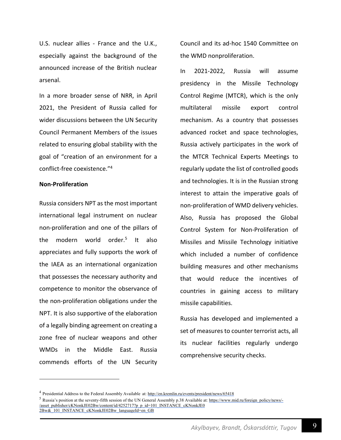U.S. nuclear allies - France and the U.K., especially against the background of the announced increase of the British nuclear arsenal.

In a more broader sense of NRR, in April 2021, the President of Russia called for wider discussions between the UN Security Council Permanent Members of the issues related to ensuring global stability with the goal of "creation of an environment for a conflict-free coexistence."4

#### **Non-Proliferation**

Russia considers NPT as the most important international legal instrument on nuclear non-proliferation and one of the pillars of the modern world order.5 It also appreciates and fully supports the work of the IAEA as an international organization that possesses the necessary authority and competence to monitor the observance of the non-proliferation obligations under the NPT. It is also supportive of the elaboration of a legally binding agreement on creating a zone free of nuclear weapons and other WMDs in the Middle East. Russia commends efforts of the UN Security Council and its ad-hoc 1540 Committee on the WMD nonproliferation.

In 2021-2022, Russia will assume presidency in the Missile Technology Control Regime (MTCR), which is the only multilateral missile export control mechanism. As a country that possesses advanced rocket and space technologies, Russia actively participates in the work of the MTCR Technical Experts Meetings to regularly update the list of controlled goods and technologies. It is in the Russian strong interest to attain the imperative goals of non-proliferation of WMD delivery vehicles. Also, Russia has proposed the Global Control System for Non-Proliferation of Missiles and Missile Technology initiative which included a number of confidence building measures and other mechanisms that would reduce the incentives of countries in gaining access to military missile capabilities.

Russia has developed and implemented a set of measures to counter terrorist acts, all its nuclear facilities regularly undergo comprehensive security checks.

<sup>4</sup> Presidential Address to the Federal Assembly Available at: http://en.kremlin.ru/events/president/news/65418

<sup>&</sup>lt;sup>5</sup> Russia's position at the seventy-fifth session of the UN General Assembly p.38 Available at: https://www.mid.ru/foreign\_policy/news/-/asset\_publisher/cKNonkJE02Bw/content/id/4252717?p\_p\_id=101\_INSTANCE\_cKNonkJE0 2Bw&\_101\_INSTANCE\_cKNonkJE02Bw\_languageId=en\_GB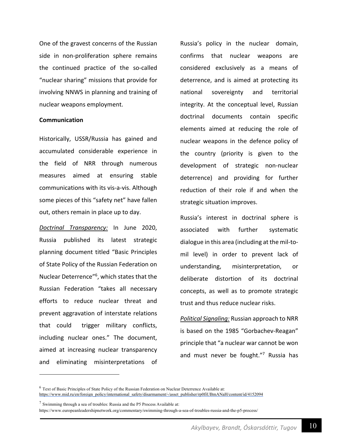One of the gravest concerns of the Russian side in non-proliferation sphere remains the continued practice of the so-called "nuclear sharing" missions that provide for involving NNWS in planning and training of nuclear weapons employment.

#### **Communication**

Historically, USSR/Russia has gained and accumulated considerable experience in the field of NRR through numerous measures aimed at ensuring stable communications with its vis-a-vis. Although some pieces of this "safety net" have fallen out, others remain in place up to day.

*Doctrinal Transparency:* In June 2020, Russia published its latest strategic planning document titled "Basic Principles of State Policy of the Russian Federation on Nuclear Deterrence"6 , which states that the Russian Federation "takes all necessary efforts to reduce nuclear threat and prevent aggravation of interstate relations that could trigger military conflicts, including nuclear ones." The document, aimed at increasing nuclear transparency and eliminating misinterpretations of

Russia's policy in the nuclear domain, confirms that nuclear weapons are considered exclusively as a means of deterrence, and is aimed at protecting its national sovereignty and territorial integrity. At the conceptual level, Russian doctrinal documents contain specific elements aimed at reducing the role of nuclear weapons in the defence policy of the country (priority is given to the development of strategic non-nuclear deterrence) and providing for further reduction of their role if and when the strategic situation improves.

Russia's interest in doctrinal sphere is associated with further systematic dialogue in this area (including at the mil-tomil level) in order to prevent lack of understanding, misinterpretation, or deliberate distortion of its doctrinal concepts, as well as to promote strategic trust and thus reduce nuclear risks.

*Political Signaling:* Russian approach to NRR is based on the 1985 "Gorbachev-Reagan" principle that "a nuclear war cannot be won and must never be fought."<sup>7</sup> Russia has

<sup>6</sup> Text of Basic Principles of State Policy of the Russian Federation on Nuclear Deterrence Available at: https://www.mid.ru/en/foreign\_policy/international\_safety/disarmament/-/asset\_publisher/rp0fiUBmANaH/content/id/4152094

 $7$  Swimming through a sea of troubles: Russia and the P5 Process Available at:

https://www.europeanleadershipnetwork.org/commentary/swimming-through-a-sea-of-troubles-russia-and-the-p5-process/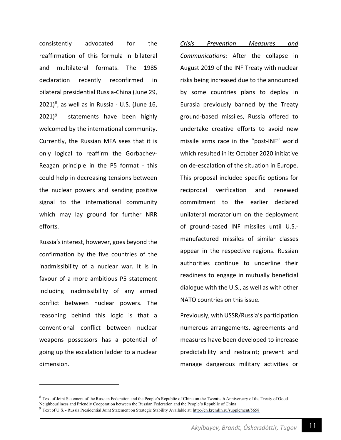consistently advocated for the reaffirmation of this formula in bilateral and multilateral formats. The 1985 declaration recently reconfirmed in bilateral presidential Russia-China (June 29,  $2021$ <sup>8</sup>, as well as in Russia - U.S. (June 16,  $2021$ <sup>9</sup> statements have been highly welcomed by the international community. Currently, the Russian MFA sees that it is only logical to reaffirm the Gorbachev-Reagan principle in the P5 format - this could help in decreasing tensions between the nuclear powers and sending positive signal to the international community which may lay ground for further NRR efforts.

Russia's interest, however, goes beyond the confirmation by the five countries of the inadmissibility of a nuclear war. It is in favour of a more ambitious P5 statement including inadmissibility of any armed conflict between nuclear powers. The reasoning behind this logic is that a conventional conflict between nuclear weapons possessors has a potential of going up the escalation ladder to a nuclear dimension.

*Crisis Prevention Measures and Communications:* After the collapse in August 2019 of the INF Treaty with nuclear risks being increased due to the announced by some countries plans to deploy in Eurasia previously banned by the Treaty ground-based missiles, Russia offered to undertake creative efforts to avoid new missile arms race in the "post-INF" world which resulted in its October 2020 initiative on de-escalation of the situation in Europe. This proposal included specific options for reciprocal verification and renewed commitment to the earlier declared unilateral moratorium on the deployment of ground-based INF missiles until U.S. manufactured missiles of similar classes appear in the respective regions. Russian authorities continue to underline their readiness to engage in mutually beneficial dialogue with the U.S., as well as with other NATO countries on this issue.

Previously, with USSR/Russia's participation numerous arrangements, agreements and measures have been developed to increase predictability and restraint; prevent and manage dangerous military activities or

 $8$  Text of Joint Statement of the Russian Federation and the People's Republic of China on the Twentieth Anniversary of the Treaty of Good Neighbourliness and Friendly Cooperation between the Russian Federation and the People's Republic of China

<sup>9</sup> Text of U.S. - Russia Presidential Joint Statement on Strategic Stability Available at: http://en.kremlin.ru/supplement/5658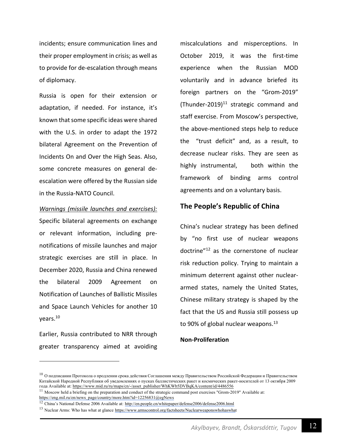incidents; ensure communication lines and their proper employment in crisis; as well as to provide for de-escalation through means of diplomacy.

Russia is open for their extension or adaptation, if needed. For instance, it's known that some specific ideas were shared with the U.S. in order to adapt the 1972 bilateral Agreement on the Prevention of Incidents On and Over the High Seas. Also, some concrete measures on general deescalation were offered by the Russian side in the Russia-NATO Council.

#### *Warnings (missile launches and exercises):*

Specific bilateral agreements on exchange or relevant information, including prenotifications of missile launches and major strategic exercises are still in place. In December 2020, Russia and China renewed the bilateral 2009 Agreement on Notification of Launches of Ballistic Missiles and Space Launch Vehicles for another 10 years.10

Earlier, Russia contributed to NRR through greater transparency aimed at avoiding miscalculations and misperceptions. In October 2019, it was the first-time experience when the Russian MOD voluntarily and in advance briefed its foreign partners on the "Grom-2019" (Thunder-2019) $^{11}$  strategic command and staff exercise. From Moscow's perspective, the above-mentioned steps help to reduce the "trust deficit" and, as a result, to decrease nuclear risks. They are seen as highly instrumental, both within the framework of binding arms control agreements and on a voluntary basis.

#### **The People's Republic of China**

China's nuclear strategy has been defined by "no first use of nuclear weapons doctrine"12 as the cornerstone of nuclear risk reduction policy. Trying to maintain a minimum deterrent against other nucleararmed states, namely the United States, Chinese military strategy is shaped by the fact that the US and Russia still possess up to 90% of global nuclear weapons. $13$ 

#### **Non-Proliferation**

 $^{10}$  О подписании Протокола о продлении срока действия Соглашения между Правительством Российской Федерации и Правительством Китайской Народной Республики об уведомлениях о пусках баллистических ракет и космических ракет-носителей от 13 октября 2009 года Available at: https://www.mid.ru/ru/maps/cn/-/asset\_publisher/WhKWb5DVBqKA/content/id/4486556

 $11$  Moscow held a briefing on the preparation and conduct of the strategic command post exercises "Grom-2019" Available at: https://eng.mil.ru/en/news\_page/country/more.htm?id=12256831@egNews

<sup>&</sup>lt;sup>12</sup> China's National Defense 2006 Available at: http://en.people.cn/whitepaper/defense2006/defense2006.html

<sup>&</sup>lt;sup>13</sup> Nuclear Arms: Who has what at glance https://www.armscontrol.org/factsheets/Nuclearweaponswhohaswhat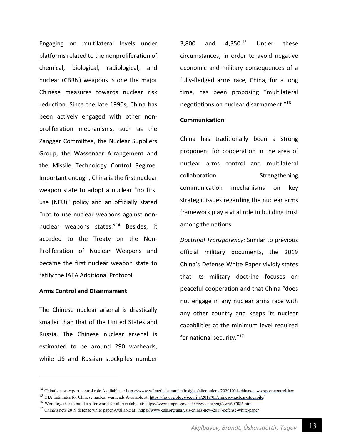Engaging on multilateral levels under platforms related to the nonproliferation of chemical, biological, radiological, and nuclear (CBRN) weapons is one the major Chinese measures towards nuclear risk reduction. Since the late 1990s, China has been actively engaged with other nonproliferation mechanisms, such as the Zangger Committee, the Nuclear Suppliers Group, the Wassenaar Arrangement and the Missile Technology Control Regime. Important enough, China is the first nuclear weapon state to adopt a nuclear "no first use (NFU)" policy and an officially stated "not to use nuclear weapons against nonnuclear weapons states."14 Besides, it acceded to the Treaty on the Non-Proliferation of Nuclear Weapons and became the first nuclear weapon state to ratify the IAEA Additional Protocol.

#### **Arms Control and Disarmament**

The Chinese nuclear arsenal is drastically smaller than that of the United States and Russia. The Chinese nuclear arsenal is estimated to be around 290 warheads, while US and Russian stockpiles number 3,800 and  $4,350.^{15}$  Under these circumstances, in order to avoid negative economic and military consequences of a fully-fledged arms race, China, for a long time, has been proposing "multilateral negotiations on nuclear disarmament."16

#### **Communication**

China has traditionally been a strong proponent for cooperation in the area of nuclear arms control and multilateral collaboration. Strengthening communication mechanisms on key strategic issues regarding the nuclear arms framework play a vital role in building trust among the nations.

*Doctrinal Transparency:* Similar to previous official military documents, the 2019 China's Defense White Paper vividly states that its military doctrine focuses on peaceful cooperation and that China "does not engage in any nuclear arms race with any other country and keeps its nuclear capabilities at the minimum level required for national security."17

<sup>&</sup>lt;sup>14</sup> China's new export control role Available at: https://www.wilmerhale.com/en/insights/client-alerts/20201021-chinas-new-export-control-law

<sup>&</sup>lt;sup>15</sup> DIA Estimates for Chinese nuclear warheads Available at: https://fas.org/blogs/security/2019/05/chinese-nuclear-stockpile/

<sup>&</sup>lt;sup>16</sup> Work together to build a safer world for all Available at: https://www.fmprc.gov.cn/ce/cgvienna/eng/xw/t607086.htm

<sup>&</sup>lt;sup>17</sup> China's new 2019 defense white paper Available at: https://www.csis.org/analysis/chinas-new-2019-defense-white-paper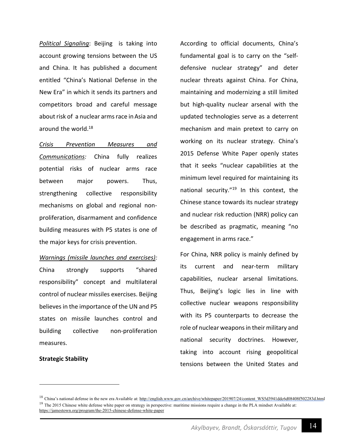*Political Signaling*: Beijing is taking into account growing tensions between the US and China. It has published a document entitled "China's National Defense in the New Era" in which it sends its partners and competitors broad and careful message about risk of a nuclear arms race in Asia and around the world.<sup>18</sup>

*Crisis Prevention Measures and Communications:* China fully realizes potential risks of nuclear arms race between major powers. Thus, strengthening collective responsibility mechanisms on global and regional nonproliferation, disarmament and confidence building measures with P5 states is one of the major keys for crisis prevention.

*Warnings (missile launches and exercises):* China strongly supports "shared responsibility" concept and multilateral control of nuclear missiles exercises. Beijing believes in the importance of the UN and P5 states on missile launches control and building collective non-proliferation measures.

#### **Strategic Stability**

According to official documents, China's fundamental goal is to carry on the "selfdefensive nuclear strategy" and deter nuclear threats against China. For China, maintaining and modernizing a still limited but high-quality nuclear arsenal with the updated technologies serve as a deterrent mechanism and main pretext to carry on working on its nuclear strategy. China's 2015 Defense White Paper openly states that it seeks "nuclear capabilities at the minimum level required for maintaining its national security."<sup>19</sup> In this context, the Chinese stance towards its nuclear strategy and nuclear risk reduction (NRR) policy can be described as pragmatic, meaning "no engagement in arms race."

For China, NRR policy is mainly defined by its current and near-term military capabilities, nuclear arsenal limitations. Thus, Beijing's logic lies in line with collective nuclear weapons responsibility with its P5 counterparts to decrease the role of nuclear weapons in their military and national security doctrines. However, taking into account rising geopolitical tensions between the United States and

<sup>&</sup>lt;sup>18</sup> China's national defense in the new era Available at: http://english.www.gov.cn/archive/whitepaper/201907/24/content\_WS5d3941ddc6d08408f502283d.html <sup>19</sup> The 2015 Chinese white defense white paper on strategy in perspective: maritime missions require a change in the PLA mindset Available at: https://jamestown.org/program/the-2015-chinese-defense-white-paper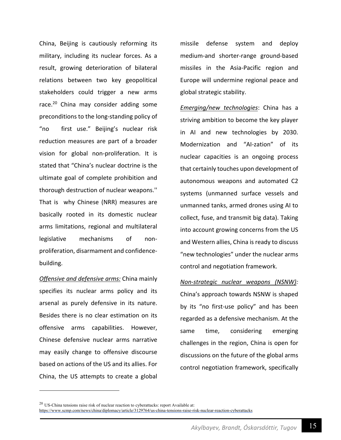China, Beijing is cautiously reforming its military, including its nuclear forces. As a result, growing deterioration of bilateral relations between two key geopolitical stakeholders could trigger a new arms race. $20$  China may consider adding some preconditions to the long-standing policy of "no first use." Beijing's nuclear risk reduction measures are part of a broader vision for global non-proliferation. It is stated that "China's nuclear doctrine is the ultimate goal of complete prohibition and thorough destruction of nuclear weapons.'' That is why Chinese (NRR) measures are basically rooted in its domestic nuclear arms limitations, regional and multilateral legislative mechanisms of nonproliferation, disarmament and confidencebuilding.

*Offensive and defensive arms:* China mainly specifies its nuclear arms policy and its arsenal as purely defensive in its nature. Besides there is no clear estimation on its offensive arms capabilities. However, Chinese defensive nuclear arms narrative may easily change to offensive discourse based on actions of the US and its allies. For China, the US attempts to create a global missile defense system and deploy medium-and shorter-range ground-based missiles in the Asia-Pacific region and Europe will undermine regional peace and global strategic stability.

*Emerging/new technologies*: China has a striving ambition to become the key player in AI and new technologies by 2030. Modernization and "AI-zation" of its nuclear capacities is an ongoing process that certainly touches upon development of autonomous weapons and automated C2 systems (unmanned surface vessels and unmanned tanks, armed drones using AI to collect, fuse, and transmit big data). Taking into account growing concerns from the US and Western allies, China is ready to discuss "new technologies" under the nuclear arms control and negotiation framework.

*Non-strategic nuclear weapons (NSNW):* China's approach towards NSNW is shaped by its "no first-use policy" and has been regarded as a defensive mechanism. At the same time, considering emerging challenges in the region, China is open for discussions on the future of the global arms control negotiation framework, specifically

 $20$  US-China tensions raise risk of nuclear reaction to cyberattacks: report Available at: https://www.scmp.com/news/china/diplomacy/article/3129764/us-china-tensions-raise-risk-nuclear-reaction-cyberattacks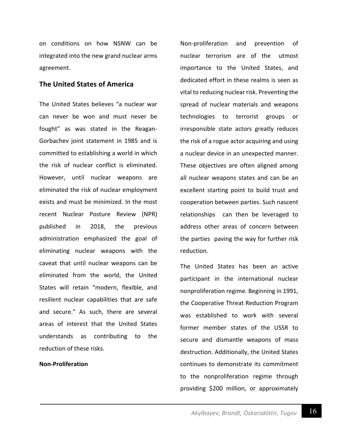on conditions on how NSNW can be integrated into the new grand nuclear arms agreement.

#### **The United States of America**

The United States believes "a nuclear war can never be won and must never be fought" as was stated in the Reagan-Gorbachev joint statement in 1985 and is committed to establishing a world in which the risk of nuclear conflict is eliminated. However, until nuclear weapons are eliminated the risk of nuclear employment exists and must be minimized. In the most recent Nuclear Posture Review (NPR) published in 2018, the previous administration emphasized the goal of eliminating nuclear weapons with the caveat that until nuclear weapons can be eliminated from the world, the United States will retain "modern, flexible, and resilient nuclear capabilities that are safe and secure." As such, there are several areas of interest that the United States understands as contributing to the reduction of these risks.

#### **Non-Proliferation**

Non-proliferation and prevention of nuclear terrorism are of the utmost importance to the United States, and dedicated effort in these realms is seen as vital to reducing nuclear risk. Preventing the spread of nuclear materials and weapons technologies to terrorist groups or irresponsible state actors greatly reduces the risk of a rogue actor acquiring and using a nuclear device in an unexpected manner. These objectives are often aligned among all nuclear weapons states and can be an excellent starting point to build trust and cooperation between parties. Such nascent relationships can then be leveraged to address other areas of concern between the parties paving the way for further risk reduction.

The United States has been an active participant in the international nuclear nonproliferation regime. Beginning in 1991, the Cooperative Threat Reduction Program was established to work with several former member states of the USSR to secure and dismantle weapons of mass destruction. Additionally, the United States continues to demonstrate its commitment to the nonproliferation regime through providing \$200 million, or approximately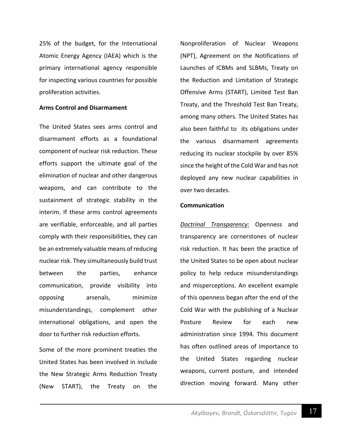25% of the budget, for the International Atomic Energy Agency (IAEA) which is the primary international agency responsible for inspecting various countries for possible proliferation activities.

#### **Arms Control and Disarmament**

The United States sees arms control and disarmament efforts as a foundational component of nuclear risk reduction. These efforts support the ultimate goal of the elimination of nuclear and other dangerous weapons, and can contribute to the sustainment of strategic stability in the interim. If these arms control agreements are verifiable, enforceable, and all parties comply with their responsibilities, they can be an extremely valuable means of reducing nuclear risk. They simultaneously build trust between the parties, enhance communication, provide visibility into opposing arsenals, minimize misunderstandings, complement other international obligations, and open the door to further risk reduction efforts.

Some of the more prominent treaties the United States has been involved in include the New Strategic Arms Reduction Treaty (New START), the Treaty on the

Nonproliferation of Nuclear Weapons (NPT), Agreement on the Notifications of Launches of ICBMs and SLBMs, Treaty on the Reduction and Limitation of Strategic Offensive Arms (START), Limited Test Ban Treaty, and the Threshold Test Ban Treaty, among many others. The United States has also been faithful to its obligations under the various disarmament agreements reducing its nuclear stockpile by over 85% since the height of the Cold War and has not deployed any new nuclear capabilities in over two decades.

#### **Communication**

*Doctrinal Transparency:* Openness and transparency are cornerstones of nuclear risk reduction. It has been the practice of the United States to be open about nuclear policy to help reduce misunderstandings and misperceptions. An excellent example of this openness began after the end of the Cold War with the publishing of a Nuclear Posture Review for each new administration since 1994. This document has often outlined areas of importance to the United States regarding nuclear weapons, current posture, and intended direction moving forward. Many other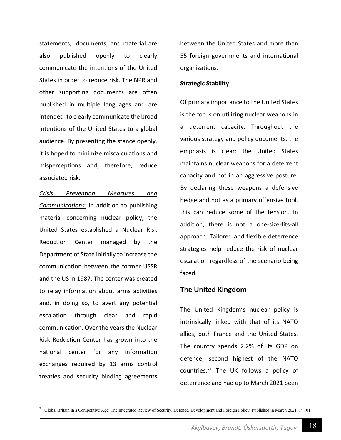statements, documents, and material are also published openly to clearly communicate the intentions of the United States in order to reduce risk. The NPR and other supporting documents are often published in multiple languages and are intended to clearly communicate the broad intentions of the United States to a global audience. By presenting the stance openly, it is hoped to minimize miscalculations and misperceptions and, therefore, reduce associated risk.

*Crisis Prevention Measures and Communications:* In addition to publishing material concerning nuclear policy, the United States established a Nuclear Risk Reduction Center managed by the Department of State initially to increase the communication between the former USSR and the US in 1987. The center was created to relay information about arms activities and, in doing so, to avert any potential escalation through clear and rapid communication. Over the years the Nuclear Risk Reduction Center has grown into the national center for any information exchanges required by 13 arms control treaties and security binding agreements between the United States and more than 55 foreign governments and international organizations.

#### **Strategic Stability**

Of primary importance to the United States is the focus on utilizing nuclear weapons in a deterrent capacity. Throughout the various strategy and policy documents, the emphasis is clear: the United States maintains nuclear weapons for a deterrent capacity and not in an aggressive posture. By declaring these weapons a defensive hedge and not as a primary offensive tool, this can reduce some of the tension. In addition, there is not a one-size-fits-all approach. Tailored and flexible deterrence strategies help reduce the risk of nuclear escalation regardless of the scenario being faced.

#### **The United Kingdom**

The United Kingdom's nuclear policy is intrinsically linked with that of its NATO allies, both France and the United States. The country spends 2.2% of its GDP on defence, second highest of the NATO countries. $21$  The UK follows a policy of deterrence and had up to March 2021 been

<sup>&</sup>lt;sup>21</sup> Global Britain in a Competitive Age: The Integrated Review of Security, Defence, Development and Foreign Policy. Published in March 2021. P. 101.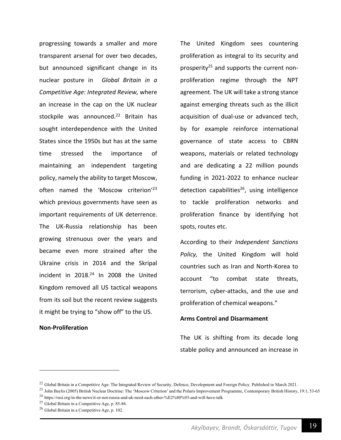progressing towards a smaller and more transparent arsenal for over two decades, but announced significant change in its nuclear posture in *Global Britain in a Competitive Age: Integrated Review,* where an increase in the cap on the UK nuclear stockpile was announced.<sup>22</sup> Britain has sought interdependence with the United States since the 1950s but has at the same time stressed the importance of maintaining an independent targeting policy, namely the ability to target Moscow, often named the 'Moscow criterion'<sup>23</sup> which previous governments have seen as important requirements of UK deterrence. The UK-Russia relationship has been growing strenuous over the years and became even more strained after the Ukraine crisis in 2014 and the Skripal incident in 2018.24 In 2008 the United Kingdom removed all US tactical weapons from its soil but the recent review suggests it might be trying to "show off" to the US.

#### **Non-Proliferation**

The United Kingdom sees countering proliferation as integral to its security and prosperity<sup>25</sup> and supports the current nonproliferation regime through the NPT agreement. The UK will take a strong stance against emerging threats such as the illicit acquisition of dual-use or advanced tech, by for example reinforce international governance of state access to CBRN weapons, materials or related technology and are dedicating a 22 million pounds funding in 2021-2022 to enhance nuclear detection capabilities<sup>26</sup>, using intelligence to tackle proliferation networks and proliferation finance by identifying hot spots, routes etc.

According to their *Independent Sanctions Policy,* the United Kingdom will hold countries such as Iran and North-Korea to account "to combat state threats, terrorism, cyber-attacks, and the use and proliferation of chemical weapons."

#### **Arms Control and Disarmament**

The UK is shifting from its decade long stable policy and announced an increase in

<sup>&</sup>lt;sup>22</sup> Global Britain in a Competitive Age: The Integrated Review of Security, Defence, Development and Foreign Policy. Published in March 2021.

<sup>&</sup>lt;sup>23</sup> John Baylis (2005) British Nuclear Doctrine: The 'Moscow Criterion' and the Polaris Improvement Programme, Contemporary British History, 19:1, 53-65

<sup>24</sup> https://rusi.org/in-the-news/it-or-not-russia-and-uk-need-each-other-%E2%80%93-and-will-have-talk

 $25$  Global Britain in a Competitive Age, p. 85-86.

<sup>26</sup> Global Britain in a Competitive Age, p. 102.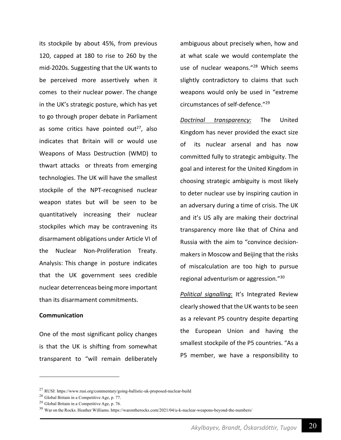its stockpile by about 45%, from previous 120, capped at 180 to rise to 260 by the mid-2020s. Suggesting that the UK wants to be perceived more assertively when it comes to their nuclear power. The change in the UK's strategic posture, which has yet to go through proper debate in Parliament as some critics have pointed out<sup>27</sup>, also indicates that Britain will or would use Weapons of Mass Destruction (WMD) to thwart attacks or threats from emerging technologies. The UK will have the smallest stockpile of the NPT-recognised nuclear weapon states but will be seen to be quantitatively increasing their nuclear stockpiles which may be contravening its disarmament obligations under Article VI of the Nuclear Non-Proliferation Treaty. Analysis: This change in posture indicates that the UK government sees credible nuclear deterrenceas being more important than its disarmament commitments.

#### **Communication**

One of the most significant policy changes is that the UK is shifting from somewhat transparent to "will remain deliberately ambiguous about precisely when, how and at what scale we would contemplate the use of nuclear weapons."<sup>28</sup> Which seems slightly contradictory to claims that such weapons would only be used in "extreme circumstances of self-defence."29

*Doctrinal transparency:* The United Kingdom has never provided the exact size of its nuclear arsenal and has now committed fully to strategic ambiguity. The goal and interest for the United Kingdom in choosing strategic ambiguity is most likely to deter nuclear use by inspiring caution in an adversary during a time of crisis. The UK and it's US ally are making their doctrinal transparency more like that of China and Russia with the aim to "convince decisionmakers in Moscow and Beijing that the risks of miscalculation are too high to pursue regional adventurism or aggression."30

*Political signalling*: It's Integrated Review clearly showed that the UK wants to be seen as a relevant P5 country despite departing the European Union and having the smallest stockpile of the P5 countries. "As a P5 member, we have a responsibility to

<sup>27</sup> RUSI: https://www.rusi.org/commentary/going-ballistic-uk-proposed-nuclear-build

<sup>28</sup> Global Britain in a Competitive Age, p. 77.

<sup>29</sup> Global Britain in a Competitive Age, p. 76.

 $30$  War on the Rocks. Heather Williams. https://warontherocks.com/2021/04/u-k-nuclear-weapons-beyond-the-numbers/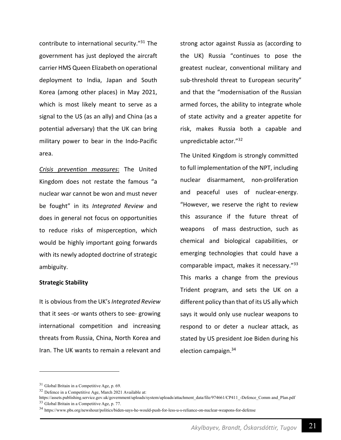contribute to international security."31 The government has just deployed the aircraft carrier HMS Queen Elizabeth on operational deployment to India, Japan and South Korea (among other places) in May 2021, which is most likely meant to serve as a signal to the US (as an ally) and China (as a potential adversary) that the UK can bring military power to bear in the Indo-Pacific area.

*Crisis prevention measures*: The United Kingdom does not restate the famous "a nuclear war cannot be won and must never be fought" in its *Integrated Review* and does in general not focus on opportunities to reduce risks of misperception, which would be highly important going forwards with its newly adopted doctrine of strategic ambiguity.

#### **Strategic Stability**

It is obvious from the UK's *Integrated Review* that it sees -or wants others to see- growing international competition and increasing threats from Russia, China, North Korea and Iran. The UK wants to remain a relevant and

strong actor against Russia as (according to the UK) Russia "continues to pose the greatest nuclear, conventional military and sub-threshold threat to European security" and that the "modernisation of the Russian armed forces, the ability to integrate whole of state activity and a greater appetite for risk, makes Russia both a capable and unpredictable actor."32

The United Kingdom is strongly committed to full implementation of the NPT, including nuclear disarmament, non-proliferation and peaceful uses of nuclear-energy. "However, we reserve the right to review this assurance if the future threat of weapons of mass destruction, such as chemical and biological capabilities, or emerging technologies that could have a comparable impact, makes it necessary."<sup>33</sup> This marks a change from the previous Trident program, and sets the UK on a different policy than that of its US ally which says it would only use nuclear weapons to respond to or deter a nuclear attack, as stated by US president Joe Biden during his election campaign.<sup>34</sup>

 $31$  Global Britain in a Competitive Age, p. 69.

<sup>32</sup> Defence in a Competitive Age, March 2021 Available at:

https://assets.publishing.service.gov.uk/government/uploads/system/uploads/attachment\_data/file/974661/CP411\_-Defence\_Comm and\_Plan.pdf <sup>33</sup> Global Britain in a Competitive Age, p. 77.

<sup>34</sup> https://www.pbs.org/newshour/politics/biden-says-he-would-push-for-less-u-s-reliance-on-nuclear-weapons-for-defense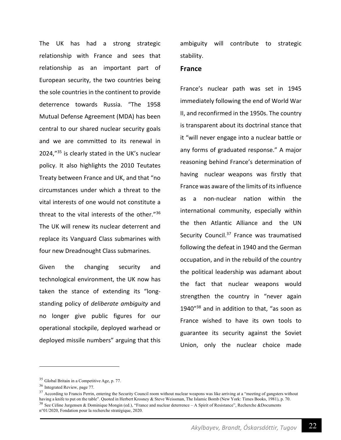The UK has had a strong strategic relationship with France and sees that relationship as an important part of European security, the two countries being the sole countries in the continent to provide deterrence towards Russia. "The 1958 Mutual Defense Agreement (MDA) has been central to our shared nuclear security goals and we are committed to its renewal in 2024,"<sup>35</sup> is clearly stated in the UK's nuclear policy. It also highlights the 2010 Teutates Treaty between France and UK, and that "no circumstances under which a threat to the vital interests of one would not constitute a threat to the vital interests of the other."36 The UK will renew its nuclear deterrent and replace its Vanguard Class submarines with four new Dreadnought Class submarines.

Given the changing security and technological environment, the UK now has taken the stance of extending its "longstanding policy of *deliberate ambiguity* and no longer give public figures for our operational stockpile, deployed warhead or deployed missile numbers" arguing that this ambiguity will contribute to strategic stability.

#### **France**

France's nuclear path was set in 1945 immediately following the end of World War II, and reconfirmed in the 1950s. The country is transparent about its doctrinal stance that it "will never engage into a nuclear battle or any forms of graduated response." A major reasoning behind France's determination of having nuclear weapons was firstly that France was aware of the limits of itsinfluence as a non-nuclear nation within the international community, especially within the then Atlantic Alliance and the UN Security Council.<sup>37</sup> France was traumatised following the defeat in 1940 and the German occupation, and in the rebuild of the country the political leadership was adamant about the fact that nuclear weapons would strengthen the country in "never again 1940"<sup>38</sup> and in addition to that, "as soon as France wished to have its own tools to guarantee its security against the Soviet Union, only the nuclear choice made

<sup>35</sup> Global Britain in a Competitive Age, p. 77.

<sup>36</sup> Integrated Review, page 77.

 $37$  According to Francis Perrin, entering the Security Council room without nuclear weapons was like arriving at a "meeting of gangsters without having a knife to put on the table". Quoted in Herbert Krosney & Steve Weissman, The Islamic Bomb (New York: Times Books, 1981), p. 70. <sup>38</sup> See Céline Jurgensen & Dominique Mongin (ed.), "France and nuclear deterrence – A Spirit of Resistance", Recherche &Documents n°01/2020, Fondation pour la recherche stratégique, 2020.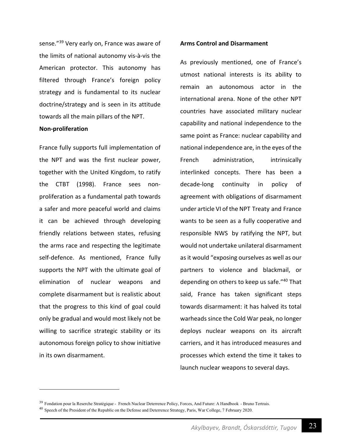sense."39 Very early on, France was aware of the limits of national autonomy vis-à-vis the American protector. This autonomy has filtered through France's foreign policy strategy and is fundamental to its nuclear doctrine/strategy and is seen in its attitude towards all the main pillars of the NPT.

#### **Non-proliferation**

France fully supports full implementation of the NPT and was the first nuclear power, together with the United Kingdom, to ratify the CTBT (1998). France sees nonproliferation as a fundamental path towards a safer and more peaceful world and claims it can be achieved through developing friendly relations between states, refusing the arms race and respecting the legitimate self-defence. As mentioned, France fully supports the NPT with the ultimate goal of elimination of nuclear weapons and complete disarmament but is realistic about that the progress to this kind of goal could only be gradual and would most likely not be willing to sacrifice strategic stability or its autonomous foreign policy to show initiative in its own disarmament.

#### **Arms Control and Disarmament**

As previously mentioned, one of France's utmost national interests is its ability to remain an autonomous actor in the international arena. None of the other NPT countries have associated military nuclear capability and national independence to the same point as France: nuclear capability and national independence are, in the eyes of the French administration. intrinsically interlinked concepts. There has been a decade-long continuity in policy of agreement with obligations of disarmament under article VI of the NPT Treaty and France wants to be seen as a fully cooperative and responsible NWS by ratifying the NPT, but would not undertake unilateral disarmament as it would "exposing ourselves as well as our partners to violence and blackmail, or depending on others to keep us safe."40 That said, France has taken significant steps towards disarmament: it has halved its total warheads since the Cold War peak, no longer deploys nuclear weapons on its aircraft carriers, and it has introduced measures and processes which extend the time it takes to launch nuclear weapons to several days.

<sup>&</sup>lt;sup>39</sup> Fondation pour la Reserche Stratégique - French Nuclear Deterrence Policy, Forces, And Future: A Handbook - Bruno Tertrais. <sup>40</sup> Speech of the President of the Republic on the Defense and Deterrence Strategy, Paris, War College, 7 February 2020.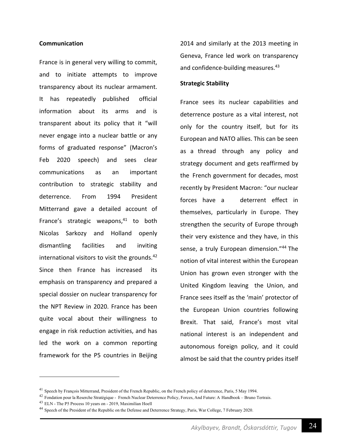#### **Communication**

France is in general very willing to commit, and to initiate attempts to improve transparency about its nuclear armament. It has repeatedly published official information about its arms and is transparent about its policy that it "will never engage into a nuclear battle or any forms of graduated response" (Macron's Feb 2020 speech) and sees clear communications as an important contribution to strategic stability and deterrence. From 1994 President Mitterrand gave a detailed account of France's strategic weapons, $41$  to both Nicolas Sarkozy and Holland openly dismantling facilities and inviting international visitors to visit the grounds. $42$ Since then France has increased its emphasis on transparency and prepared a special dossier on nuclear transparency for the NPT Review in 2020. France has been quite vocal about their willingness to engage in risk reduction activities, and has led the work on a common reporting framework for the P5 countries in Beijing 2014 and similarly at the 2013 meeting in Geneva, France led work on transparency and confidence-building measures.<sup>43</sup>

#### **Strategic Stability**

France sees its nuclear capabilities and deterrence posture as a vital interest, not only for the country itself, but for its European and NATO allies. This can be seen as a thread through any policy and strategy document and gets reaffirmed by the French government for decades, most recently by President Macron: "our nuclear forces have a deterrent effect in themselves, particularly in Europe. They strengthen the security of Europe through their very existence and they have, in this sense, a truly European dimension."<sup>44</sup> The notion of vital interest within the European Union has grown even stronger with the United Kingdom leaving the Union, and France sees itself as the 'main' protector of the European Union countries following Brexit. That said, France's most vital national interest is an independent and autonomous foreign policy, and it could almost be said that the country prides itself

<sup>&</sup>lt;sup>41</sup> Speech by François Mitterrand, President of the French Republic, on the French policy of deterrence, Paris, 5 May 1994.

<sup>42</sup> Fondation pour la Reserche Stratégique - French Nuclear Deterrence Policy, Forces, And Future: A Handbook – Bruno Tertrais.

<sup>43</sup> ELN - The P5 Process 10 years on - 2019, Maximilian Hoell

<sup>&</sup>lt;sup>44</sup> Speech of the President of the Republic on the Defense and Deterrence Strategy, Paris, War College, 7 February 2020.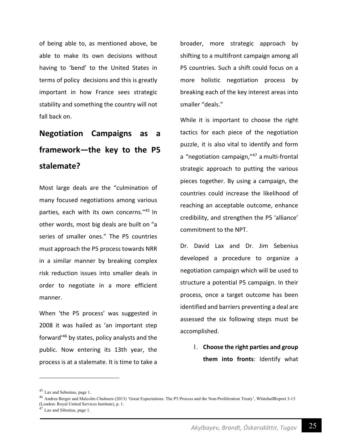of being able to, as mentioned above, be able to make its own decisions without having to 'bend' to the United States in terms of policy decisions and this is greatly important in how France sees strategic stability and something the country will not fall back on.

# **Negotiation Campaigns as a framework—the key to the P5 stalemate?**

Most large deals are the "culmination of many focused negotiations among various parties, each with its own concerns."45 In other words, most big deals are built on "a series of smaller ones." The P5 countries must approach the P5 process towards NRR in a similar manner by breaking complex risk reduction issues into smaller deals in order to negotiate in a more efficient manner.

When 'the P5 process' was suggested in 2008 it was hailed as 'an important step forward'46 by states, policy analysts and the public. Now entering its 13th year, the process is at a stalemate. It is time to take a broader, more strategic approach by shifting to a multifront campaign among all P5 countries. Such a shift could focus on a more holistic negotiation process by breaking each of the key interest areas into smaller "deals."

While it is important to choose the right tactics for each piece of the negotiation puzzle, it is also vital to identify and form a "negotiation campaign,"<sup>47</sup> a multi-frontal strategic approach to putting the various pieces together. By using a campaign, the countries could increase the likelihood of reaching an acceptable outcome, enhance credibility, and strengthen the P5 'alliance' commitment to the NPT.

Dr. David Lax and Dr. Jim Sebenius developed a procedure to organize a negotiation campaign which will be used to structure a potential P5 campaign. In their process, once a target outcome has been identified and barriers preventing a deal are assessed the six following steps must be accomplished.

> 1. **Choose the right parties and group them into fronts**: Identify what

<sup>45</sup> Lax and Sebenius, page 1.

<sup>46</sup> Andrea Berger and Malcolm Chalmers (2013) 'Great Expectations: The P5 Process and the Non-Proliferation Treaty', WhitehallReport 3-13 (London: Royal United Services Institute), p. 1.

 $47$  Lax and Sibenius, page 1.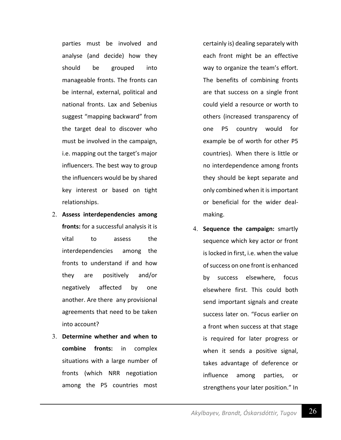parties must be involved and analyse (and decide) how they should be grouped into manageable fronts. The fronts can be internal, external, political and national fronts. Lax and Sebenius suggest "mapping backward" from the target deal to discover who must be involved in the campaign, i.e. mapping out the target's major influencers. The best way to group the influencers would be by shared key interest or based on tight relationships.

- 2. **Assess interdependencies among fronts:** for a successful analysis it is vital to assess the interdependencies among the fronts to understand if and how they are positively and/or negatively affected by one another. Are there any provisional agreements that need to be taken into account?
- 3. **Determine whether and when to combine fronts:** in complex situations with a large number of fronts (which NRR negotiation among the P5 countries most

certainly is) dealing separately with each front might be an effective way to organize the team's effort. The benefits of combining fronts are that success on a single front could yield a resource or worth to others (increased transparency of one P5 country would for example be of worth for other P5 countries). When there is little or no interdependence among fronts they should be kept separate and only combined when it is important or beneficial for the wider dealmaking.

4. **Sequence the campaign:** smartly sequence which key actor or front is locked in first, i.e. when the value of success on one front is enhanced by success elsewhere, focus elsewhere first. This could both send important signals and create success later on. "Focus earlier on a front when success at that stage is required for later progress or when it sends a positive signal, takes advantage of deference or influence among parties, or strengthens your later position." In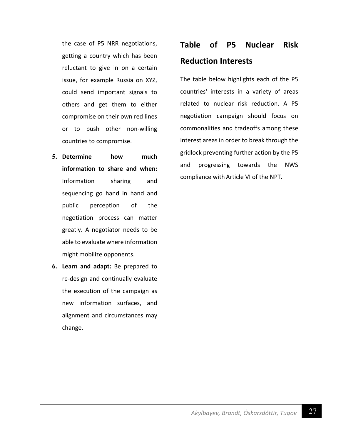the case of P5 NRR negotiations, getting a country which has been reluctant to give in on a certain issue, for example Russia on XYZ, could send important signals to others and get them to either compromise on their own red lines or to push other non-willing countries to compromise.

- **5. Determine how much information to share and when:**  Information sharing and sequencing go hand in hand and public perception of the negotiation process can matter greatly. A negotiator needs to be able to evaluate where information might mobilize opponents.
- **6. Learn and adapt:** Be prepared to re-design and continually evaluate the execution of the campaign as new information surfaces, and alignment and circumstances may change.

# **Table of P5 Nuclear Risk Reduction Interests**

The table below highlights each of the P5 countries' interests in a variety of areas related to nuclear risk reduction. A P5 negotiation campaign should focus on commonalities and tradeoffs among these interest areas in order to break through the gridlock preventing further action by the P5 and progressing towards the NWS compliance with Article VI of the NPT.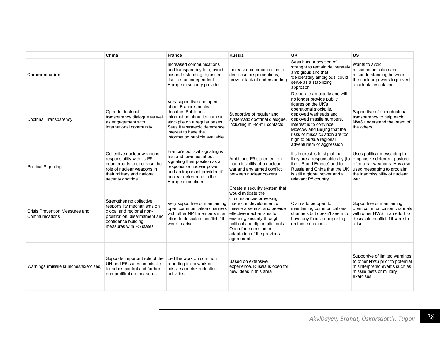|                                                  | China                                                                                                                                                                      | <b>France</b>                                                                                                                                                                                                                           | Russia                                                                                                                                                                                                              | <b>UK</b>                                                                                                                                                                                                                                                                                                             | <b>US</b>                                                                                                                                    |
|--------------------------------------------------|----------------------------------------------------------------------------------------------------------------------------------------------------------------------------|-----------------------------------------------------------------------------------------------------------------------------------------------------------------------------------------------------------------------------------------|---------------------------------------------------------------------------------------------------------------------------------------------------------------------------------------------------------------------|-----------------------------------------------------------------------------------------------------------------------------------------------------------------------------------------------------------------------------------------------------------------------------------------------------------------------|----------------------------------------------------------------------------------------------------------------------------------------------|
| Communication                                    |                                                                                                                                                                            | Increased communications<br>and transparency to a) avoid<br>misunderstanding, b) assert<br>itself as an independent<br>European security provider                                                                                       | Increased communication to<br>decrease misperceptions.<br>prevent lack of understanding                                                                                                                             | Sees it as a position of<br>strenght to remain deliberately<br>ambigious and that<br>'deliberately ambigious' could<br>serve as a stabilizing<br>approach.                                                                                                                                                            | Wants to avoid<br>miscommunication and<br>misunderstanding between<br>the nuclear powers to prevent<br>accidental escalation                 |
| Doctrinal Transparency                           | Open to doctrinal<br>transparency dialogue as well<br>as engagement with<br>international community                                                                        | Very supportive and open<br>about France's nuclear<br>doctrine. Publishes<br>information about its nuclear<br>stockpile on a regular bases.<br>Sees it a strategic deterrence<br>interest to have the<br>information publicly available | Supportive of regular and<br>systematic doctrinal dialoque.<br>including mil-to-mil contacts                                                                                                                        | Deliberate ambiguity and will<br>no longer provide public<br>figures on the UK's<br>operational stockpile,<br>deployed warheads and<br>deployed missile numbers.<br>Interest is to convince<br>Moscow and Beijing that the<br>risks of miscalculation are too<br>high to pursue regional<br>adventurism or aggression | Supportive of open doctrinal<br>transparency to help each<br>NWS understand the intent of<br>the others                                      |
| <b>Political Signaling</b>                       | Collective nuclear weapons<br>responsibility with its P5<br>counterparts to decrease the<br>role of nuclear weapons in<br>their military and national<br>security doctrine | France's political signaling is<br>first and foremest about<br>signaling their position as a<br>responsible nuclear power<br>and an important provider of<br>nuclear deterrence in the<br>European continent                            | Ambitious P5 statement on<br>inadmissibility of a nuclear<br>war and any armed conflict<br>between nuclear powers                                                                                                   | It's interest is to signal that<br>they are a responsable ally (to emphasize deterrent posture<br>the US and France) and to<br>Russia and China that the UK<br>is still a global power and a<br>relevant P5 country                                                                                                   | Uses political messaging to<br>of nuclear weapons. Has also<br>used messaging to proclaim<br>the inadmissibility of nuclear<br>war           |
| Crisis Prevention Measures and<br>Communications | Strengthening collective<br>responsility mechanisms on<br>global and regional non-<br>prolifiration, disarmament and<br>confidence building.<br>measures with P5 states    | Very supportive of maintaining interest in development of<br>open communication channels missile arsenals, and provide<br>with other NPT members in an effective mechanisms for<br>effort to descalate conflict if it<br>were to arise. | Create a security system that<br>would mitigate the<br>circumstances provoking<br>ensuring security through<br>political and diplomatic tools.<br>Open for extension or<br>adaptation of the previous<br>agreements | Claims to be open to<br>maintaining communications<br>channels but doesn't seem to<br>have any focus on reporting<br>on those channels.                                                                                                                                                                               | Supportive of maintaining<br>open communication channels<br>with other NWS in an effort to<br>descalate conflict if it were to<br>arise.     |
| Warnings (missile launches/exercises)            | Supports important role of the<br>UN and P5 states on missile<br>launches control and further<br>non-prolifiration measures                                                | Led the work on common<br>reporting framework on<br>missile and risk reduction<br>activities                                                                                                                                            | Based on extensive<br>experience, Russia is open for<br>new ideas in this area                                                                                                                                      |                                                                                                                                                                                                                                                                                                                       | Supportive of limited warnings<br>to other NWS prior to potential<br>misinterpreted events such as<br>missile tests or military<br>exercises |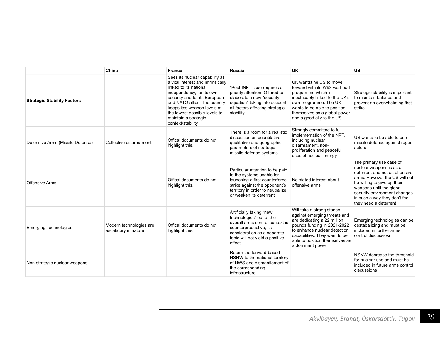|                                    | China                                           | <b>France</b>                                                                                                                                                                                                                                                                                             | <b>Russia</b>                                                                                                                                                                                  | <b>UK</b>                                                                                                                                                                                                                                      | <b>US</b>                                                                                                                                                                                                                                                                  |
|------------------------------------|-------------------------------------------------|-----------------------------------------------------------------------------------------------------------------------------------------------------------------------------------------------------------------------------------------------------------------------------------------------------------|------------------------------------------------------------------------------------------------------------------------------------------------------------------------------------------------|------------------------------------------------------------------------------------------------------------------------------------------------------------------------------------------------------------------------------------------------|----------------------------------------------------------------------------------------------------------------------------------------------------------------------------------------------------------------------------------------------------------------------------|
| <b>Strategic Stability Factors</b> |                                                 | Sees its nuclear capability as<br>a vital interest and intrinsically<br>linked to its national<br>independency, for its own<br>security and for its European<br>and NATO allies. The country<br>keeps itss weapon levels at<br>the lowest possible levels to<br>maintain a strategic<br>context/stability | "Post-INF" issue requires a<br>priority attention. Offered to<br>elaborate a new "security<br>equation" taking into account<br>all factors affecting strategic<br>stability                    | UK wantst he US to move<br>forward with its W93 warhead<br>programme which is<br>inextricably linked to the UK's<br>own programme. The UK<br>wants to be able to position<br>themselves as a global power<br>and a good ally to the US         | Strategic stability is important<br>to maintain balance and<br>prevent an overwhelming first<br>strike                                                                                                                                                                     |
| Defensive Arms (Missile Defense)   | Collective disarmament                          | Offical documents do not<br>highlight this.                                                                                                                                                                                                                                                               | There is a room for a realistic<br>discussion on quantitative,<br>qualitative and geographic<br>parameters of strategic<br>missile defense systems                                             | Strongly committed to full<br>implementation of the NPT,<br>including nuclear<br>disarmament. non-<br>proliferation and peaceful<br>uses of nuclear-energy                                                                                     | US wants to be able to use<br>missile defense against roque<br>actors                                                                                                                                                                                                      |
| Offensive Arms                     |                                                 | Offical documents do not<br>highlight this.                                                                                                                                                                                                                                                               | Particular attention to be paid<br>to the systems usable for<br>launching a first counterforce<br>strike against the opponent's<br>territory in order to neutralize<br>or weaken its deterrent | No stated interest about<br>offensive arms                                                                                                                                                                                                     | The primary use case of<br>nuclear weapons is as a<br>deterrent and not as offensive<br>arms. However the US will not<br>be willing to give up their<br>weapons until the global<br>security environment changes<br>in such a way they don't feel<br>they need a deterrent |
| <b>Emerging Technologies</b>       | Modern technologies are<br>escalatory in nature | Offical documents do not<br>highlight this.                                                                                                                                                                                                                                                               | Artificially taking "new<br>technologies" out of the<br>overall arms control context is<br>counterproductive; its<br>consideration as a separate<br>topic will not yield a positive<br>effect  | Will take a strong stance<br>against emerging threats and<br>are dedicating a 22 million<br>pounds funding in 2021-2022<br>to enhance nuclear detection<br>capabilities. They want to be<br>able to position themselves as<br>a dominant power | Emerging technologies can be<br>destabalizing and must be<br>included in further arms<br>control discussiosn                                                                                                                                                               |
| Non-strategic nuclear weapons      |                                                 |                                                                                                                                                                                                                                                                                                           | Return the forward-based<br>NSNW to the national territory<br>of NWS and dismantlement of<br>the corresponding<br>infrastructure                                                               |                                                                                                                                                                                                                                                | NSNW decrease the threshold<br>for nuclear use and must be<br>included in future arms control<br>discussions                                                                                                                                                               |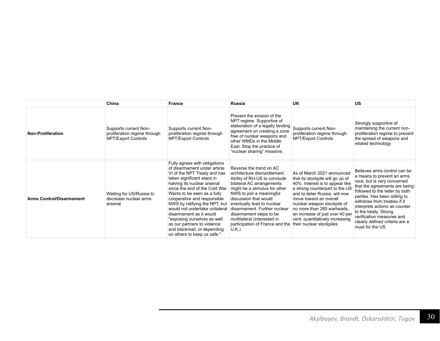|                                 | China                                                                        | <b>France</b>                                                                                                                                                                                                                                                                                                                                                                                                                                                                        | Russia                                                                                                                                                                                                                                                                                                                                                                        | <b>UK</b>                                                                                                                                                                                                                                                                                                                                                     | <b>US</b>                                                                                                                                                                                                                                                                                                                                                                |
|---------------------------------|------------------------------------------------------------------------------|--------------------------------------------------------------------------------------------------------------------------------------------------------------------------------------------------------------------------------------------------------------------------------------------------------------------------------------------------------------------------------------------------------------------------------------------------------------------------------------|-------------------------------------------------------------------------------------------------------------------------------------------------------------------------------------------------------------------------------------------------------------------------------------------------------------------------------------------------------------------------------|---------------------------------------------------------------------------------------------------------------------------------------------------------------------------------------------------------------------------------------------------------------------------------------------------------------------------------------------------------------|--------------------------------------------------------------------------------------------------------------------------------------------------------------------------------------------------------------------------------------------------------------------------------------------------------------------------------------------------------------------------|
| Non-Proliferation               | Supports current Non-<br>proliferation regime through<br>NPT/Export Controls | Supports current Non-<br>proliferation regime through<br>NPT/Export Controls                                                                                                                                                                                                                                                                                                                                                                                                         | Prevent the erosion of the<br>NPT regime. Supportive of<br>elaboration of a legally binding<br>agreement on creating a zone<br>free of nuclear weapons and<br>other WMDs in the Middle<br>East. Stop the practice of<br>"nuclear sharing" missions                                                                                                                            | Supports current Non-<br>proliferation regime through<br>NPT/Export Controls                                                                                                                                                                                                                                                                                  | Strongly supportive of<br>maintaining the current non-<br>proliferation regime to prevent<br>the spread of weapons and<br>related technology                                                                                                                                                                                                                             |
| <b>Arms Control/Disarmament</b> | Waiting for US/Russia to<br>decrease nuclear arms<br>arsenal                 | Fully agrees with obligations<br>of disarmament under article<br>VI of the NPT Treaty and has<br>taken significant steps in<br>halving its nuclear arsenal<br>since the end of the Cold War.<br>Wants to be seen as a fully<br>cooperative and responsible<br>NWS by ratifying the NPT, but<br>would not undertake unilateral<br>disarmament as it would<br>"exposing ourselves as well<br>as our partners to violence<br>and blackmail, or depending<br>on others to keep us safe." | Reverse the trend on AC<br>architecture dismantlement.<br>Ability of RU-US to conclude<br>bilateral AC arrangements<br>might be a stimulus for other<br>NWS to join a meaningful<br>discussion that would<br>eventually lead to nuclear<br>disarmament. Further nuclear<br>disarmament steps to be<br>multilateral (interested in<br>participation of France and the<br>U.K.) | As of March 2021 announced<br>that its stockpile will go up of<br>40%. Interest is to appear like<br>a strong counterpart to the US<br>and to deter Russia, will now<br>move toward an overall<br>nuclear weapon stockpile of<br>no more than 260 warheads.<br>an increase of just over 40 per<br>cent. quantitatively increasing<br>their nuclear stockpiles | Believes arms control can be<br>a means to prevent an arms<br>race, but is very concerned<br>that the agreements are being<br>followed to the letter by both<br>parties. Has been willing to<br>withdraw from treaties if it<br>interprets actions as counter<br>to the treaty. Strong<br>verification measures and<br>clearly defined criteria are a<br>must for the US |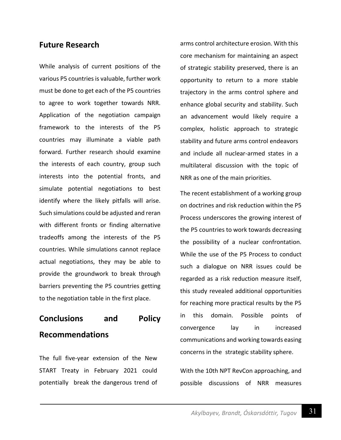### **Future Research**

While analysis of current positions of the various P5 countries is valuable, further work must be done to get each of the P5 countries to agree to work together towards NRR. Application of the negotiation campaign framework to the interests of the P5 countries may illuminate a viable path forward. Further research should examine the interests of each country, group such interests into the potential fronts, and simulate potential negotiations to best identify where the likely pitfalls will arise. Such simulations could be adjusted and reran with different fronts or finding alternative tradeoffs among the interests of the P5 countries. While simulations cannot replace actual negotiations, they may be able to provide the groundwork to break through barriers preventing the P5 countries getting to the negotiation table in the first place.

## **Conclusions and Policy Recommendations**

The full five-year extension of the New START Treaty in February 2021 could potentially break the dangerous trend of arms control architecture erosion. With this core mechanism for maintaining an aspect of strategic stability preserved, there is an opportunity to return to a more stable trajectory in the arms control sphere and enhance global security and stability. Such an advancement would likely require a complex, holistic approach to strategic stability and future arms control endeavors and include all nuclear-armed states in a multilateral discussion with the topic of NRR as one of the main priorities.

The recent establishment of a working group on doctrines and risk reduction within the P5 Process underscores the growing interest of the P5 countries to work towards decreasing the possibility of a nuclear confrontation. While the use of the P5 Process to conduct such a dialogue on NRR issues could be regarded as a risk reduction measure itself, this study revealed additional opportunities for reaching more practical results by the P5 in this domain. Possible points of convergence lay in increased communications and working towards easing concerns in the strategic stability sphere.

With the 10th NPT RevCon approaching, and possible discussions of NRR measures